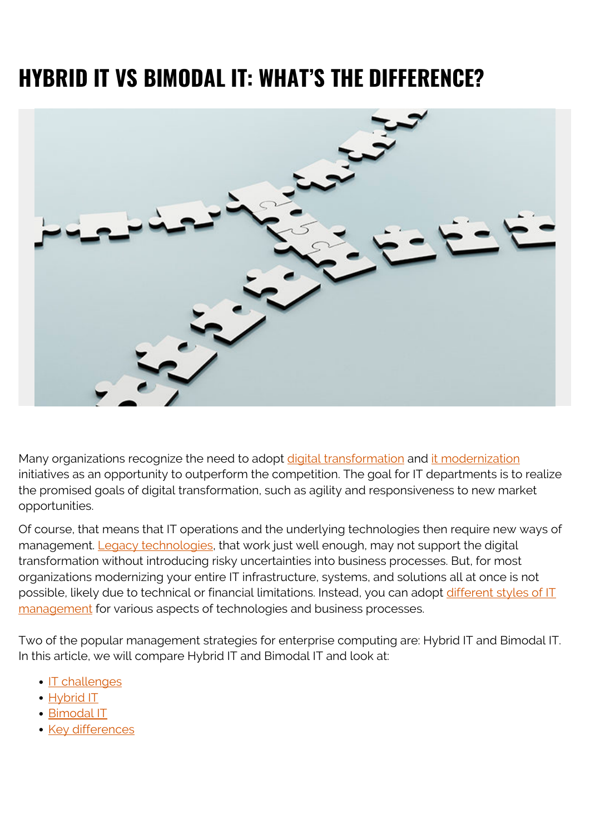# **HYBRID IT VS BIMODAL IT: WHAT'S THE DIFFERENCE?**



Many organizations recognize the need to adopt [digital transformation](https://blogs.bmc.com/blogs/digital-transformation-trends/) and [it modernization](https://blogs.bmc.com/blogs/it-modernization/) initiatives as an opportunity to outperform the competition. The goal for IT departments is to realize the promised goals of digital transformation, such as agility and responsiveness to new market opportunities.

Of course, that means that IT operations and the underlying technologies then require new ways of management. [Legacy technologies,](https://blogs.bmc.com/blogs/application-software-modernization/) that work just well enough, may not support the digital transformation without introducing risky uncertainties into business processes. But, for most organizations modernizing your entire IT infrastructure, systems, and solutions all at once is not possible, likely due to technical or financial limitations. Instead, you can adopt [different styles of IT](https://blogs.bmc.com/blogs/it-management/) [management](https://blogs.bmc.com/blogs/it-management/) for various aspects of technologies and business processes.

Two of the popular management strategies for enterprise computing are: Hybrid IT and Bimodal IT. In this article, we will compare Hybrid IT and Bimodal IT and look at:

- · **[IT challenges](#page--1-0)**
- [Hybrid IT](#page--1-0)
- [Bimodal IT](#page--1-0)
- [Key differences](#page--1-0)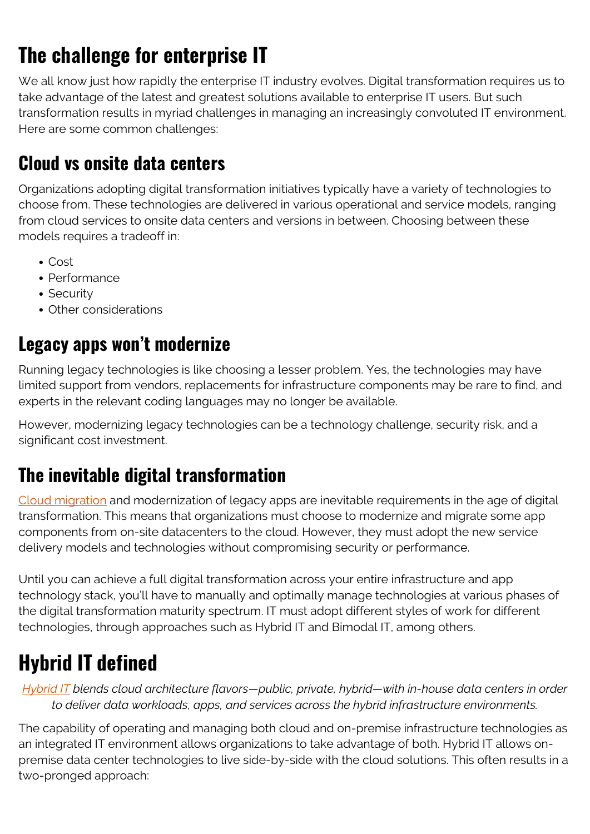## **The challenge for enterprise IT**

We all know just how rapidly the enterprise IT industry evolves. Digital transformation requires us to take advantage of the latest and greatest solutions available to enterprise IT users. But such transformation results in myriad challenges in managing an increasingly convoluted IT environment. Here are some common challenges:

#### **Cloud vs onsite data centers**

Organizations adopting digital transformation initiatives typically have a variety of technologies to choose from. These technologies are delivered in various operational and service models, ranging from cloud services to onsite data centers and versions in between. Choosing between these models requires a tradeoff in:

- Cost
- Performance
- Security
- Other considerations

#### **Legacy apps won't modernize**

Running legacy technologies is like choosing a lesser problem. Yes, the technologies may have limited support from vendors, replacements for infrastructure components may be rare to find, and experts in the relevant coding languages may no longer be available.

However, modernizing legacy technologies can be a technology challenge, security risk, and a significant cost investment.

#### **The inevitable digital transformation**

[Cloud migration](https://blogs.bmc.com/blogs/key-facets-of-a-smart-cloud-migration-strategy/) and modernization of legacy apps are inevitable requirements in the age of digital transformation. This means that organizations must choose to modernize and migrate some app components from on-site datacenters to the cloud. However, they must adopt the new service delivery models and technologies without compromising security or performance.

Until you can achieve a full digital transformation across your entire infrastructure and app technology stack, you'll have to manually and optimally manage technologies at various phases of the digital transformation maturity spectrum. IT must adopt different styles of work for different technologies, through approaches such as Hybrid IT and Bimodal IT, among others.

### **Hybrid IT defined**

*[Hybrid IT](https://blogs.bmc.com/blogs/hybrid-it/) blends cloud architecture flavors—public, private, hybrid—with in-house data centers in order to deliver data workloads, apps, and services across the hybrid infrastructure environments.*

The capability of operating and managing both cloud and on-premise infrastructure technologies as an integrated IT environment allows organizations to take advantage of both. Hybrid IT allows onpremise data center technologies to live side-by-side with the cloud solutions. This often results in a two-pronged approach: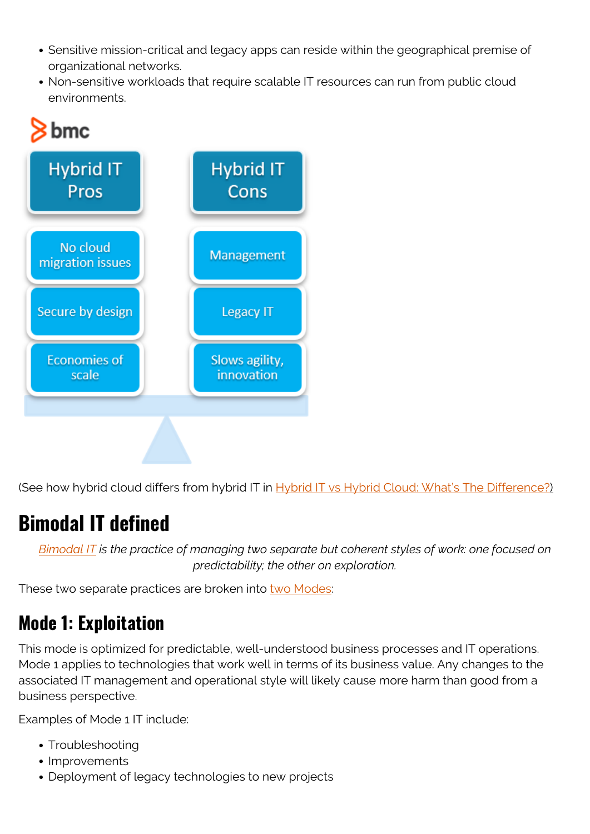- Sensitive mission-critical and legacy apps can reside within the geographical premise of organizational networks.
- Non-sensitive workloads that require scalable IT resources can run from public cloud environments.



(See how hybrid cloud differs from hybrid IT in [Hybrid IT vs Hybrid Cloud: What's The Difference?](https://blogs.bmc.com/blogs/hybrid-it-vs-hybrid-cloud/))

### **Bimodal IT defined**

*[Bimodal IT](https://blogs.bmc.com/blogs/bimodal-it/) is the practice of managing two separate but coherent styles of work: one focused on predictability; the other on exploration.*

These two separate practices are broken into [two Modes:](https://blogs.bmc.com/blogs/mode-1-vs-mode-2-it/)

### **Mode 1: Exploitation**

This mode is optimized for predictable, well-understood business processes and IT operations. Mode 1 applies to technologies that work well in terms of its business value. Any changes to the associated IT management and operational style will likely cause more harm than good from a business perspective.

Examples of Mode 1 IT include:

- Troubleshooting
- Improvements
- Deployment of legacy technologies to new projects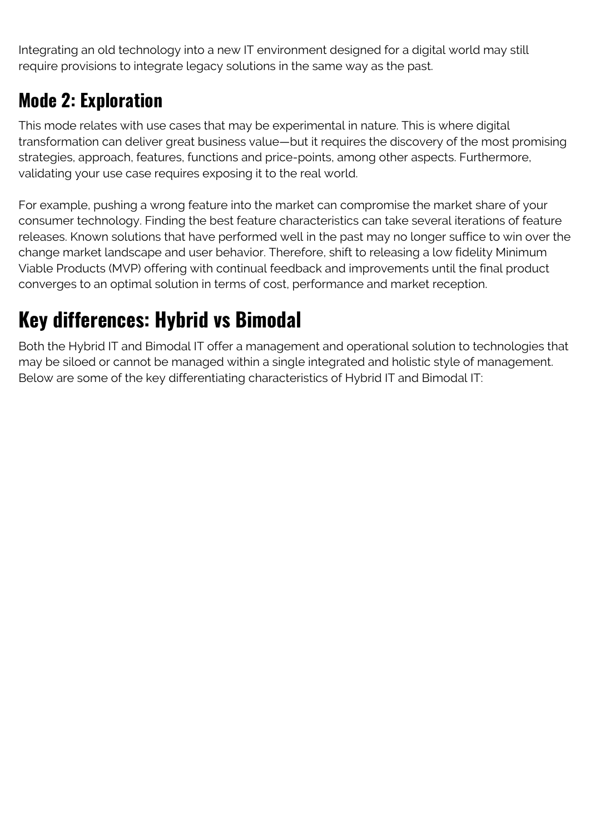Integrating an old technology into a new IT environment designed for a digital world may still require provisions to integrate legacy solutions in the same way as the past.

#### **Mode 2: Exploration**

This mode relates with use cases that may be experimental in nature. This is where digital transformation can deliver great business value—but it requires the discovery of the most promising strategies, approach, features, functions and price-points, among other aspects. Furthermore, validating your use case requires exposing it to the real world.

For example, pushing a wrong feature into the market can compromise the market share of your consumer technology. Finding the best feature characteristics can take several iterations of feature releases. Known solutions that have performed well in the past may no longer suffice to win over the change market landscape and user behavior. Therefore, shift to releasing a low fidelity Minimum Viable Products (MVP) offering with continual feedback and improvements until the final product converges to an optimal solution in terms of cost, performance and market reception.

### **Key differences: Hybrid vs Bimodal**

Both the Hybrid IT and Bimodal IT offer a management and operational solution to technologies that may be siloed or cannot be managed within a single integrated and holistic style of management. Below are some of the key differentiating characteristics of Hybrid IT and Bimodal IT: